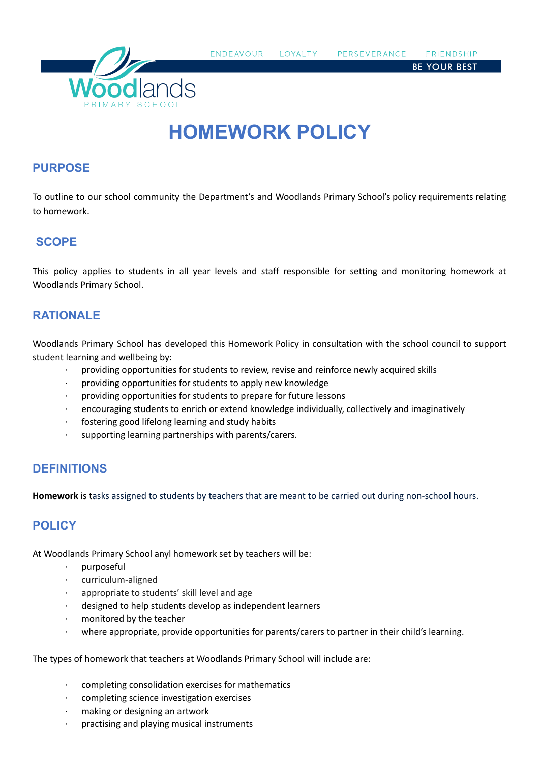

**FNDFAVOUR** LOYALTY PERSEVERANCE **FRIENDSHIP** 

**BE YOUR BEST** 

# **HOMEWORK POLICY**

## **PURPOSE**

To outline to our school community the Department's and Woodlands Primary School's policy requirements relating to homework.

# **SCOPE**

This policy applies to students in all year levels and staff responsible for setting and monitoring homework at Woodlands Primary School.

## **RATIONALE**

Woodlands Primary School has developed this Homework Policy in consultation with the school council to support student learning and wellbeing by:

- providing opportunities for students to review, revise and reinforce newly acquired skills
- · providing opportunities for students to apply new knowledge
- providing opportunities for students to prepare for future lessons
- · encouraging students to enrich or extend knowledge individually, collectively and imaginatively
- fostering good lifelong learning and study habits
- supporting learning partnerships with parents/carers.

# **DEFINITIONS**

**Homework** is tasks assigned to students by teachers that are meant to be carried out during non-school hours.

# **POLICY**

At Woodlands Primary School anyl homework set by teachers will be:

- · purposeful
- curriculum-aligned
- appropriate to students' skill level and age
- designed to help students develop as independent learners
- monitored by the teacher
- · where appropriate, provide opportunities for parents/carers to partner in their child's learning.

The types of homework that teachers at Woodlands Primary School will include are:

- completing consolidation exercises for mathematics
- · completing science investigation exercises
- making or designing an artwork
- practising and playing musical instruments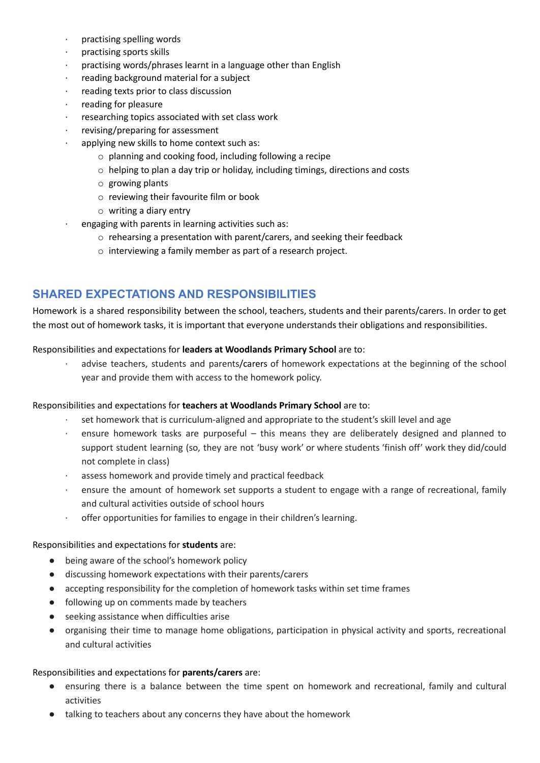- practising spelling words
- practising sports skills
- practising words/phrases learnt in a language other than English
- reading background material for a subject
- reading texts prior to class discussion
- reading for pleasure
- researching topics associated with set class work
- revising/preparing for assessment
- applying new skills to home context such as:
	- o planning and cooking food, including following a recipe
	- o helping to plan a day trip or holiday, including timings, directions and costs
	- o growing plants
	- o reviewing their favourite film or book
	- o writing a diary entry
- engaging with parents in learning activities such as:
	- o rehearsing a presentation with parent/carers, and seeking their feedback
	- o interviewing a family member as part of a research project.

## **SHARED EXPECTATIONS AND RESPONSIBILITIES**

Homework is a shared responsibility between the school, teachers, students and their parents/carers. In order to get the most out of homework tasks, it is important that everyone understands their obligations and responsibilities.

#### Responsibilities and expectations for **leaders at Woodlands Primary School** are to:

advise teachers, students and parents/carers of homework expectations at the beginning of the school year and provide them with access to the homework policy.

#### Responsibilities and expectations for **teachers at Woodlands Primary School** are to:

- set homework that is curriculum-aligned and appropriate to the student's skill level and age
- · ensure homework tasks are purposeful this means they are deliberately designed and planned to support student learning (so, they are not 'busy work' or where students 'finish off' work they did/could not complete in class)
- · assess homework and provide timely and practical feedback
- · ensure the amount of homework set supports a student to engage with a range of recreational, family and cultural activities outside of school hours
- · offer opportunities for families to engage in their children's learning.

#### Responsibilities and expectations for **students** are:

- being aware of the school's homework policy
- discussing homework expectations with their parents/carers
- accepting responsibility for the completion of homework tasks within set time frames
- following up on comments made by teachers
- seeking assistance when difficulties arise
- organising their time to manage home obligations, participation in physical activity and sports, recreational and cultural activities

#### Responsibilities and expectations for **parents/carers** are:

- ensuring there is a balance between the time spent on homework and recreational, family and cultural activities
- talking to teachers about any concerns they have about the homework